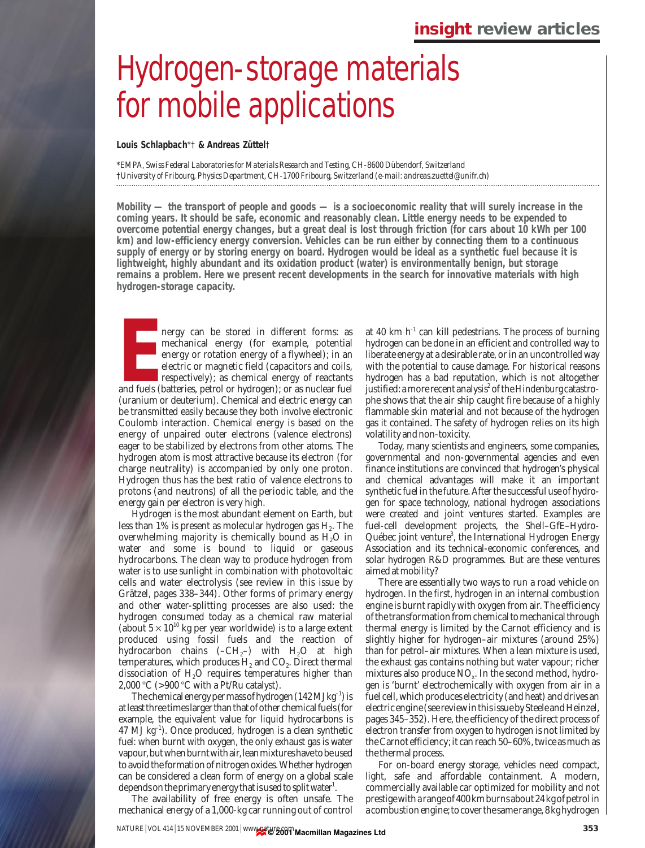# Hydrogen-storage materials for mobile applications

**Louis Schlapbach**\*† **& Andreas Züttel**†

\**EMPA, Swiss Federal Laboratories for Materials Research and Testing, CH-8600 Dübendorf, Switzerland* †*University of Fribourg, Physics Department, CH-1700 Fribourg, Switzerland (e-mail: andreas.zuettel@unifr.ch)* 

**Mobility — the transport of people and goods — is a socioeconomic reality that will surely increase in the coming years. It should be safe, economic and reasonably clean. Little energy needs to be expended to overcome potential energy changes, but a great deal is lost through friction (for cars about 10 kWh per 100 km) and low-efficiency energy conversion. Vehicles can be run either by connecting them to a continuous supply of energy or by storing energy on board. Hydrogen would be ideal as a synthetic fuel because it is lightweight, highly abundant and its oxidation product (water) is environmentally benign, but storage remains a problem. Here we present recent developments in the search for innovative materials with high hydrogen-storage capacity.**

**EXECUTE:** The stored in different forms: as mechanical energy (for example, potential energy or rotation energy of a flywheel); in an electric or magnetic field (capacitors and coils, respectively); as chemical energy of nergy can be stored in different forms: as mechanical energy (for example, potential energy or rotation energy of a flywheel); in an electric or magnetic field (capacitors and coils, respectively); as chemical energy of reactants (uranium or deuterium). Chemical and electric energy can be transmitted easily because they both involve electronic Coulomb interaction. Chemical energy is based on the energy of unpaired outer electrons (valence electrons) eager to be stabilized by electrons from other atoms. The hydrogen atom is most attractive because its electron (for charge neutrality) is accompanied by only one proton. Hydrogen thus has the best ratio of valence electrons to protons (and neutrons) of all the periodic table, and the energy gain per electron is very high.

Hydrogen is the most abundant element on Earth, but less than  $1\%$  is present as molecular hydrogen gas  $H_2$ . The overwhelming majority is chemically bound as  $H_2O$  in water and some is bound to liquid or gaseous hydrocarbons. The clean way to produce hydrogen from water is to use sunlight in combination with photovoltaic cells and water electrolysis (see review in this issue by Grätzel, pages 338–344). Other forms of primary energy and other water-splitting processes are also used: the hydrogen consumed today as a chemical raw material (about  $5 \times 10^{10}$  kg per year worldwide) is to a large extent produced using fossil fuels and the reaction of hydrocarbon chains  $(-CH<sub>2</sub>-)$  with  $H<sub>2</sub>O$  at high temperatures, which produces  $H_2$  and  $CO_2$ . Direct thermal dissociation of  $H<sub>2</sub>O$  requires temperatures higher than 2,000 °C ( $>900$  °C with a Pt/Ru catalyst).

The chemical energy per mass of hydrogen  $(142 \text{ MJ kg}^{-1})$  is at least three times larger than that of other chemical fuels (for example, the equivalent value for liquid hydrocarbons is  $47 \text{ MJ kg}^{-1}$ ). Once produced, hydrogen is a clean synthetic fuel: when burnt with oxygen, the only exhaust gas is water vapour, but when burnt with air, lean mixtures have to be used to avoid the formation of nitrogen oxides. Whether hydrogen can be considered a clean form of energy on a global scale depends on the primary energy that is used to split water $^{\rm l}$ .

The availability of free energy is often unsafe. The mechanical energy of a 1,000-kg car running out of control

at 40 km  $h^{-1}$  can kill pedestrians. The process of burning hydrogen can be done in an efficient and controlled way to liberate energy at a desirable rate, or in an uncontrolled way with the potential to cause damage. For historical reasons hydrogen has a bad reputation, which is not altogether justified: a more recent analysis<sup>2</sup> of the *Hindenburg* catastrophe shows that the air ship caught fire because of a highly flammable skin material and not because of the hydrogen gas it contained. The safety of hydrogen relies on its high volatility and non-toxicity.

Today, many scientists and engineers, some companies, governmental and non-governmental agencies and even finance institutions are convinced that hydrogen's physical and chemical advantages will make it an important synthetic fuel in the future. After the successful use of hydrogen for space technology, national hydrogen associations were created and joint ventures started. Examples are fuel-cell development projects, the Shell–GfE–Hydro-Québec joint venture<sup>3</sup>, the International Hydrogen Energy Association and its technical-economic conferences, and solar hydrogen R&D programmes. But are these ventures aimed at mobility?

There are essentially two ways to run a road vehicle on hydrogen. In the first, hydrogen in an internal combustion engine is burnt rapidly with oxygen from air. The efficiency of the transformation from chemical to mechanical through thermal energy is limited by the Carnot efficiency and is slightly higher for hydrogen–air mixtures (around 25%) than for petrol–air mixtures. When a lean mixture is used, the exhaust gas contains nothing but water vapour; richer mixtures also produce NO*x*. In the second method, hydrogen is 'burnt' electrochemically with oxygen from air in a fuel cell, which produces electricity (and heat) and drives an electric engine (see review in this issue by Steele and Heinzel, pages 345–352). Here, the efficiency of the direct process of electron transfer from oxygen to hydrogen is not limited by the Carnot efficiency; it can reach 50–60%, twice as much as the thermal process.

For on-board energy storage, vehicles need compact, light, safe and affordable containment. A modern, commercially available car optimized for mobility and not prestige with a range of 400 km burns about 24 kg of petrol in a combustion engine; to cover the same range, 8 kg hydrogen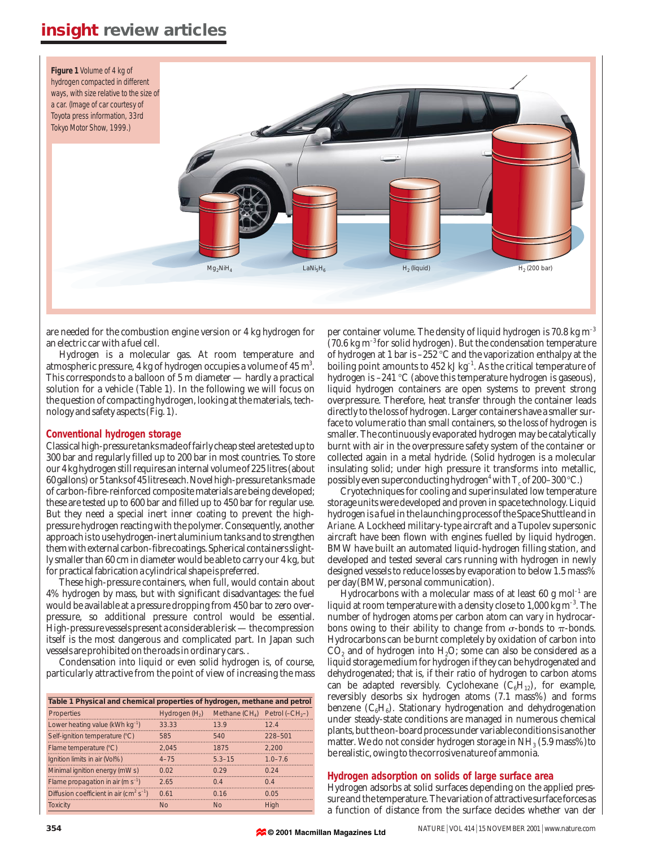

are needed for the combustion engine version or 4 kg hydrogen for an electric car with a fuel cell.

Hydrogen is a molecular gas. At room temperature and atmospheric pressure, 4 kg of hydrogen occupies a volume of  $45 \text{ m}^3$ . This corresponds to a balloon of 5 m diameter — hardly a practical solution for a vehicle (Table 1). In the following we will focus on the question of compacting hydrogen, looking at the materials, technology and safety aspects (Fig. 1).

### **Conventional hydrogen storage**

Classical high-pressure tanks made of fairly cheap steel are tested up to 300 bar and regularly filled up to 200 bar in most countries. To store our 4 kg hydrogen still requires an internal volume of 225 litres (about 60 gallons) or 5 tanks of 45 litres each. Novel high-pressure tanks made of carbon-fibre-reinforced composite materials are being developed; these are tested up to 600 bar and filled up to 450 bar for regular use. But they need a special inert inner coating to prevent the highpressure hydrogen reacting with the polymer. Consequently, another approach is to use hydrogen-inert aluminium tanks and to strengthen them with external carbon-fibre coatings. Spherical containers slightly smaller than 60 cm in diameter would be able to carry our 4 kg, but for practical fabrication a cylindrical shape is preferred.

These high-pressure containers, when full, would contain about 4% hydrogen by mass, but with significant disadvantages: the fuel would be available at a pressure dropping from 450 bar to zero overpressure, so additional pressure control would be essential. High-pressure vessels present a considerable risk — the compression itself is the most dangerous and complicated part. In Japan such vessels are prohibited on the roads in ordinary cars. .

Condensation into liquid or even solid hydrogen is, of course, particularly attractive from the point of view of increasing the mass

| Table 1 Physical and chemical properties of hydrogen, methane and petrol |                 |                   |                    |  |  |  |
|--------------------------------------------------------------------------|-----------------|-------------------|--------------------|--|--|--|
| Properties                                                               | Hydrogen $(H2)$ | Methane $(CH_4)$  | Petrol $(-CH_{2})$ |  |  |  |
| Lower heating value ( $kWh$ $kg^{-1}$ )                                  | 33.33           | 139               | 124                |  |  |  |
| Self-ignition temperature (°C)                                           | 585             | 540               | 228-501            |  |  |  |
| Flame temperature (°C)                                                   | 2.045           | 1875              | 2.200              |  |  |  |
| Ignition limits in air (Vol%)                                            | $4 - 75$        | $53 - 15$         | $10 - 76$          |  |  |  |
| Minimal ignition energy (mW s)                                           | 0.02            | 0.29              | 0.24               |  |  |  |
| Flame propagation in air (m s <sup>-1</sup> )                            | 265             | $\Omega$ $\Delta$ | $\Omega$ 4         |  |  |  |
| Diffusion coefficient in air ( $\text{cm}^2 \text{ s}^{-1}$ )            | 0.61            | 0.16              | 0.05               |  |  |  |
| <b>Toxicity</b>                                                          | N <sub>0</sub>  | N <sub>0</sub>    | Hiah               |  |  |  |

per container volume. The density of liquid hydrogen is 70.8 kg m–3 (70.6 kg  $\text{m}^{-3}$  for solid hydrogen). But the condensation temperature of hydrogen at 1 bar is  $-252^{\circ}$ C and the vaporization enthalpy at the boiling point amounts to 452 kJ kg $^{-1}$ . As the critical temperature of hydrogen is  $-241 \text{ }^{\circ}\text{C}$  (above this temperature hydrogen is gaseous), liquid hydrogen containers are open systems to prevent strong overpressure. Therefore, heat transfer through the container leads directly to the loss of hydrogen. Larger containers have a smaller surface to volume ratio than small containers, so the loss of hydrogen is smaller. The continuously evaporated hydrogen may be catalytically burnt with air in the overpressure safety system of the container or collected again in a metal hydride. (Solid hydrogen is a molecular insulating solid; under high pressure it transforms into metallic, possibly even superconducting hydrogen<sup>4</sup> with  $T_c$  of 200–300 °C.)

Cryotechniques for cooling and superinsulated low temperature storage units were developed and proven in space technology. Liquid hydrogen is a fuel in the launching process of the Space Shuttle and in *Ariane*. A Lockheed military-type aircraft and a Tupolev supersonic aircraft have been flown with engines fuelled by liquid hydrogen. BMW have built an automated liquid-hydrogen filling station, and developed and tested several cars running with hydrogen in newly designed vessels to reduce losses by evaporation to below 1.5 mass% per day(BMW, personal communication).

Hydrocarbons with a molecular mass of at least 60 g mol<sup>-1</sup> are liquid at room temperature with a density close to 1,000 kg  $\text{m}^{-3}$ . The number of hydrogen atoms per carbon atom can vary in hydrocarbons owing to their ability to change from  $\sigma$ -bonds to  $\pi$ -bonds. Hydrocarbons can be burnt completely by oxidation of carbon into  $CO<sub>2</sub>$  and of hydrogen into  $H<sub>2</sub>O$ ; some can also be considered as a liquid storage medium for hydrogen if they can be hydrogenated and dehydrogenated; that is, if their ratio of hydrogen to carbon atoms can be adapted reversibly. Cyclohexane  $(C_6H_{12})$ , for example, reversibly desorbs six hydrogen atoms (7.1 mass%) and forms benzene  $(C_6H_6)$ . Stationary hydrogenation and dehydrogenation under steady-state conditions are managed in numerous chemical plants, but the on-board process under variable conditions is another matter. We do not consider hydrogen storage in  $NH<sub>3</sub>$  (5.9 mass%)to be realistic, owing to the corrosive nature of ammonia.

### **Hydrogen adsorption on solids of large surface area**

Hydrogen adsorbs at solid surfaces depending on the applied pressure and the temperature. The variation of attractive surface forces as a function of distance from the surface decides whether van der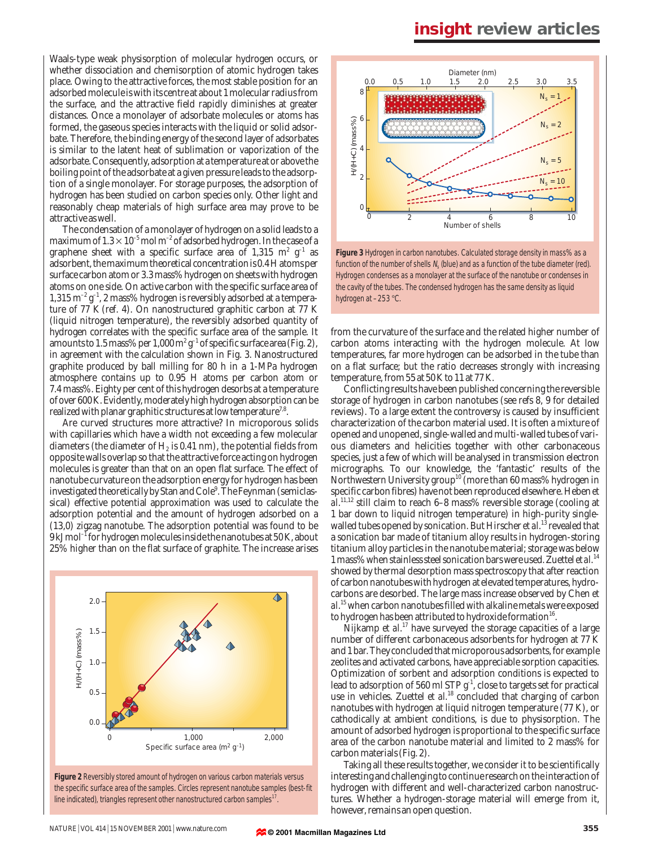Waals-type weak physisorption of molecular hydrogen occurs, or whether dissociation and chemisorption of atomic hydrogen takes place. Owing to the attractive forces, the most stable position for an adsorbed molecule is with its centre at about 1 molecular radius from the surface, and the attractive field rapidly diminishes at greater distances. Once a monolayer of adsorbate molecules or atoms has formed, the gaseous species interacts with the liquid or solid adsorbate. Therefore, the binding energy of the second layer of adsorbates is similar to the latent heat of sublimation or vaporization of the adsorbate. Consequently, adsorption at a temperature at or above the boiling point of the adsorbate at a given pressure leads to the adsorption of a single monolayer. For storage purposes, the adsorption of hydrogen has been studied on carbon species only. Other light and reasonably cheap materials of high surface area may prove to be attractive as well.

The condensation of a monolayer of hydrogen on a solid leads to a maximum of  $1.3 \times 10^{-5}$  mol m<sup>-2</sup> of adsorbed hydrogen. In the case of a graphene sheet with a specific surface area of 1,315 m<sup>2</sup> g<sup>-1</sup> as adsorbent, the maximum theoretical concentration is 0.4 H atoms per surface carbon atom or 3.3 mass% hydrogen on sheets with hydrogen atoms on one side. On active carbon with the specific surface area of  $1,315 \text{ m}^{-2} \text{ g}^{-1}$ , 2 mass% hydrogen is reversibly adsorbed at a temperature of 77 K (ref. 4). On nanostructured graphitic carbon at 77 K (liquid nitrogen temperature), the reversibly adsorbed quantity of hydrogen correlates with the specific surface area of the sample. It amounts to 1.5 mass% per 1,000  $\mathrm{m}^2$  g<sup>-1</sup> of specific surface area (Fig. 2), in agreement with the calculation shown in Fig. 3. Nanostructured graphite produced by ball milling for 80 h in a 1-MPa hydrogen atmosphere contains up to 0.95 H atoms per carbon atom or 7.4 mass%. Eighty per cent of this hydrogen desorbs at a temperature of over 600 K. Evidently, moderately high hydrogen absorption can be realized with planar graphitic structures at low temperature<sup>7,8</sup>.

Are curved structures more attractive? In microporous solids with capillaries which have a width not exceeding a few molecular diameters (the diameter of  $H<sub>2</sub>$  is 0.41 nm), the potential fields from opposite walls overlap so that the attractive force acting on hydrogen molecules is greater than that on an open flat surface. The effect of nanotube curvature on the adsorption energy for hydrogen has been investigated theoretically by Stan and Cole<sup>9</sup>. The Feynman (semiclassical) effective potential approximation was used to calculate the adsorption potential and the amount of hydrogen adsorbed on a (13,0) zigzag nanotube. The adsorption potential was found to be  $9 \mathrm{kJ\,mol^{-1}}$  for hydrogen molecules inside the nanotubes at 50 K, about 25% higher than on the flat surface of graphite. The increase arises



**Figure 2** Reversibly stored amount of hydrogen on various carbon materials versus the specific surface area of the samples. Circles represent nanotube samples (best-fit line indicated), triangles represent other nanostructured carbon samples<sup>1</sup>



**Figure 3** Hydrogen in carbon nanotubes. Calculated storage density in mass% as a function of the number of shells  $N_s$  (blue) and as a function of the tube diameter (red). Hydrogen condenses as a monolayer at the surface of the nanotube or condenses in the cavity of the tubes. The condensed hydrogen has the same density as liquid hydrogen at -253 °C.

from the curvature of the surface and the related higher number of carbon atoms interacting with the hydrogen molecule. At low temperatures, far more hydrogen can be adsorbed in the tube than on a flat surface; but the ratio decreases strongly with increasing temperature, from 55 at 50 K to 11 at 77 K.

Conflicting results have been published concerning the reversible storage of hydrogen in carbon nanotubes (see refs 8, 9 for detailed reviews). To a large extent the controversy is caused by insufficient characterization of the carbon material used. It is often a mixture of opened and unopened, single-walled and multi-walled tubes of various diameters and helicities together with other carbonaceous species, just a few of which will be analysed in transmission electron micrographs. To our knowledge, the 'fantastic' results of the Northwestern University group<sup>10</sup> (more than 60 mass% hydrogen in specific carbon fibres) have not been reproduced elsewhere. Heben *et al*. 11,12 still claim to reach 6–8 mass% reversible storage (cooling at 1 bar down to liquid nitrogen temperature) in high-purity singlewalled tubes opened by sonication. But Hirscher *et al*. <sup>13</sup> revealed that a sonication bar made of titanium alloy results in hydrogen-storing titanium alloy particles in the nanotube material; storage was below 1 mass% when stainless steel sonication bars were used. Zuettel *et al*. 14 showed by thermal desorption mass spectroscopy that after reaction of carbon nanotubes with hydrogen at elevated temperatures, hydrocarbons are desorbed. The large mass increase observed by Chen *et al*. 15when carbon nanotubes filled with alkaline metals were exposed to hydrogen has been attributed to hydroxide formation<sup>16</sup>.

Nijkamp *et al*. <sup>17</sup> have surveyed the storage capacities of a large number of different carbonaceous adsorbents for hydrogen at 77 K and 1 bar. They concluded that microporous adsorbents, for example zeolites and activated carbons, have appreciable sorption capacities. Optimization of sorbent and adsorption conditions is expected to lead to adsorption of 560 ml STP  $g^{-1}$ , close to targets set for practical use in vehicles. Zuettel *et al.*<sup>18</sup> concluded that charging of carbon nanotubes with hydrogen at liquid nitrogen temperature (77 K), or cathodically at ambient conditions, is due to physisorption. The amount of adsorbed hydrogen is proportional to the specific surface area of the carbon nanotube material and limited to 2 mass% for carbon materials (Fig. 2).

Taking all these results together, we consider it to be scientifically interesting and challenging to continue research on the interaction of hydrogen with different and well-characterized carbon nanostructures. Whether a hydrogen-storage material will emerge from it, however, remains an open question.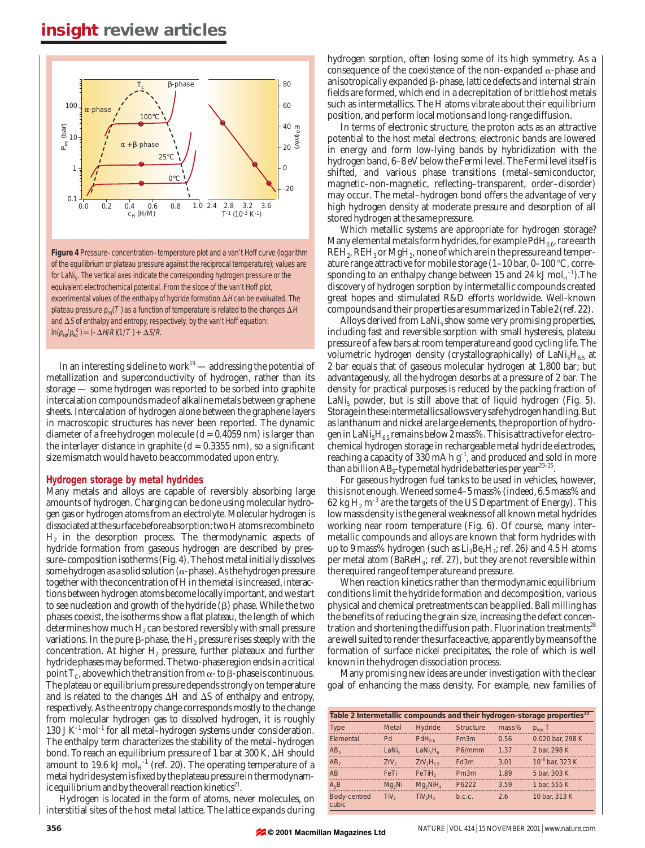

**Figure 4** Pressure–concentration–temperature plot and a van't Hoff curve (logarithm of the equilibrium or plateau pressure against the reciprocal temperature); values are for LaNi<sub>5</sub>. The vertical axes indicate the corresponding hydrogen pressure or the equivalent electrochemical potential. From the slope of the van't Hoff plot, experimental values of the enthalpy of hydride formation  $\Delta H$  can be evaluated. The plateau pressure  $p_{eq}(T)$  as a function of temperature is related to the changes  $\Delta H$ and  $\Delta S$  of enthalpy and entropy, respectively, by the van't Hoff equation:  $\ln(p_{eq}/p_{eq}^0) = (-\Delta H/R)(1/T) + \Delta S/R.$ 

In an interesting sideline to work<sup>19</sup> — addressing the potential of metallization and superconductivity of hydrogen, rather than its storage — some hydrogen was reported to be sorbed into graphite intercalation compounds made of alkaline metals between graphene sheets. Intercalation of hydrogen alone between the graphene layers in macroscopic structures has never been reported. The dynamic diameter of a free hydrogen molecule (*d* = 0.4059 nm) is larger than the interlayer distance in graphite  $(d = 0.3355 \text{ nm})$ , so a significant size mismatch would have to be accommodated upon entry.

#### **Hydrogen storage by metal hydrides**

Many metals and alloys are capable of reversibly absorbing large amounts of hydrogen. Charging can be done using molecular hydrogen gas or hydrogen atoms from an electrolyte. Molecular hydrogen is dissociated at the surface before absorption; two H atoms recombine to  $H_2$  in the desorption process. The thermodynamic aspects of hydride formation from gaseous hydrogen are described by pressure–composition isotherms (Fig. 4). The host metal initially dissolves some hydrogen as a solid solution ( $\alpha$ -phase). As the hydrogen pressure together with the concentration of H in the metal is increased, interactions between hydrogen atoms become locally important, and we start to see nucleation and growth of the hydride  $(\beta)$  phase. While the two phases coexist, the isotherms show a flat plateau, the length of which determines how much  $H_2$  can be stored reversibly with small pressure variations. In the pure  $\beta$ -phase, the  $H_2$  pressure rises steeply with the concentration. At higher  $H_2$  pressure, further plateaux and further hydride phases may be formed. The two-phase region ends in a critical point  $T_c$ , above which the transition from  $\alpha$ - to  $\beta$ -phase is continuous. The plateau or equilibrium pressure depends strongly on temperature and is related to the changes  $\Delta H$  and  $\Delta S$  of enthalpy and entropy, respectively. As the entropy change corresponds mostly to the change from molecular hydrogen gas to dissolved hydrogen, it is roughly 130 J  $K^{-1}$  mol<sup>-1</sup> for all metal–hydrogen systems under consideration. The enthalpy term characterizes the stability of the metal–hydrogen bond. To reach an equilibrium pressure of 1 bar at 300 K, ΔH should amount to 19.6 kJ  $\mathrm{mol}_\mathrm{H}^{-1}$  (ref. 20). The operating temperature of a metal hydride system is fixed by the plateau pressure in thermodynamic equilibrium and by the overall reaction kinetics<sup>21</sup>.

Hydrogen is located in the form of atoms, never molecules, on interstitial sites of the host metal lattice. The lattice expands during

hydrogen sorption, often losing some of its high symmetry. As a consequence of the coexistence of the non-expanded  $\alpha$ -phase and anisotropically expanded  $\beta$ -phase, lattice defects and internal strain fields are formed, which end in a decrepitation of brittle host metals such as intermetallics. The H atoms vibrate about their equilibrium position, and perform local motions and long-range diffusion.

In terms of electronic structure, the proton acts as an attractive potential to the host metal electrons; electronic bands are lowered in energy and form low-lying bands by hybridization with the hydrogen band, 6–8 eV below the Fermi level. The Fermi level itself is shifted, and various phase transitions (metal–semiconductor, magnetic–non-magnetic, reflecting–transparent, order–disorder) may occur. The metal–hydrogen bond offers the advantage of very high hydrogen density at moderate pressure and desorption of all stored hydrogen at the same pressure.

Which metallic systems are appropriate for hydrogen storage? Many elemental metals form hydrides, for example  $PdH_{0.6}$ , rare earth REH<sub>2</sub>, REH<sub>3</sub> or MgH<sub>2</sub>, none of which are in the pressure and temperature range attractive for mobile storage  $(1-10 \text{ bar}, 0-100 \text{ °C}, \text{corr}$ esponding to an enthalpy change between 15 and 24 kJ  $\mathrm{mol}_\mathrm{H}^{-1}$ ).The discovery of hydrogen sorption by intermetallic compounds created great hopes and stimulated R&D efforts worldwide. Well-known compounds and their properties are summarized in Table 2(ref. 22).

Alloys derived from  $LaNi<sub>5</sub> show some very promising properties,$ including fast and reversible sorption with small hysteresis, plateau pressure of a few bars at room temperature and good cycling life. The volumetric hydrogen density (crystallographically) of  $LaNi<sub>5</sub>H<sub>6.5</sub>$  at 2 bar equals that of gaseous molecular hydrogen at 1,800 bar; but advantageously, all the hydrogen desorbs at a pressure of 2 bar. The density for practical purposes is reduced by the packing fraction of LaNi<sub>5</sub> powder, but is still above that of liquid hydrogen (Fig. 5). Storage in these intermetallics allows very safe hydrogen handling. But as lanthanum and nickel are large elements, the proportion of hydrogen in LaNi<sub>5</sub>H<sub>6.5</sub> remains below 2 mass%. This is attractive for electrochemical hydrogen storage in rechargeable metal hydride electrodes, reaching a capacity of 330 mA h  $g^{-1}$ , and produced and sold in more than a billion  $AB_5$ -type metal hydride batteries per year<sup>23-25</sup>.

For gaseous hydrogen fuel tanks to be used in vehicles, however, this is not enough. We need some 4–5 mass% (indeed, 6.5 mass% and 62 kg  $H_2$  m<sup>-3</sup> are the targets of the US Department of Energy). This low mass density is the general weakness of all known metal hydrides working near room temperature (Fig. 6). Of course, many intermetallic compounds and alloys are known that form hydrides with up to 9 mass% hydrogen (such as  $Li<sub>3</sub>Be<sub>2</sub>H<sub>7</sub>$ ; ref. 26) and 4.5 H atoms per metal atom ( $BaReH<sub>9</sub>$ ; ref. 27), but they are not reversible within the required range of temperature and pressure.

When reaction kinetics rather than thermodynamic equilibrium conditions limit the hydride formation and decomposition, various physical and chemical pretreatments can be applied. Ball milling has the benefits of reducing the grain size, increasing the defect concentration and shortening the diffusion path. Fluorination treatments<sup>28</sup> are well suited to render the surface active, apparently by means of the formation of surface nickel precipitates, the role of which is well known in the hydrogen dissociation process.

Many promising new ideas are under investigation with the clear goal of enhancing the mass density. For example, new families of

| Table 2 Intermetallic compounds and their hydrogen-storage properties <sup>22</sup> |                   |                                  |                  |       |                             |  |  |
|-------------------------------------------------------------------------------------|-------------------|----------------------------------|------------------|-------|-----------------------------|--|--|
| <b>Type</b>                                                                         | Metal             | <b>Hydride</b>                   | <b>Structure</b> | mass% | $p_{eq}$ , T                |  |  |
| Flemental                                                                           | Pd                | $PdH_{0.6}$                      | Fm3m             | 0.56  | 0.020 bar, 298 K            |  |  |
| AB <sub>5</sub>                                                                     | LaNi <sub>5</sub> | LaNi <sub>5</sub> H <sub>6</sub> | P6/mmm           | 1 37  | 2 bar, 298 K                |  |  |
| AB <sub>2</sub>                                                                     | ZrV <sub>2</sub>  | $ZrV_2H_{5,5}$                   | Fd3m             | 3.01  | 10 <sup>-8</sup> bar, 323 K |  |  |
| <b>AR</b>                                                                           | FeTi              | FeTiH <sub>2</sub>               | Pm3m             | 189   | 5 bar, 303 K                |  |  |
| $A_2B$                                                                              | $Mq_2Ni$          | $Mq_2NiH_4$                      | P6222            | 3.59  | 1 bar. 555 K                |  |  |
| Body-centred<br>cubic.                                                              | TiV <sub>2</sub>  | TiV <sub>2</sub> H <sub>4</sub>  | b.c.c.           | 26    | 10 bar, 313 K               |  |  |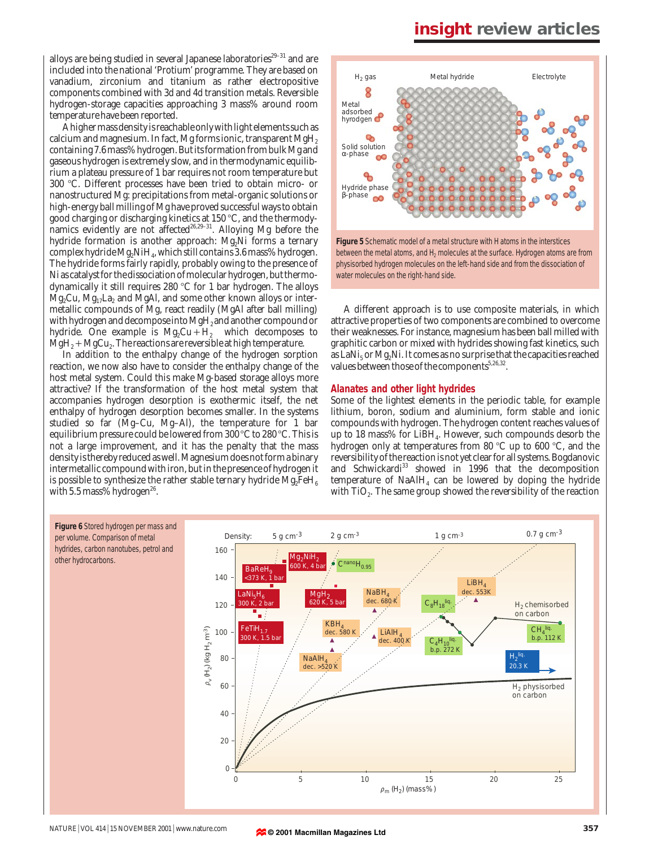alloys are being studied in several Japanese laboratories $29-31$  and are included into the national 'Protium' programme. They are based on vanadium, zirconium and titanium as rather electropositive components combined with 3*d* and 4*d* transition metals. Reversible hydrogen-storage capacities approaching 3 mass% around room temperature have been reported.

A higher mass density is reachable only with light elements such as calcium and magnesium. In fact, Mg forms ionic, transparent  $MgH<sub>2</sub>$ containing 7.6 mass% hydrogen. But its formation from bulk Mg and gaseous hydrogen is extremely slow, and in thermodynamic equilibrium a plateau pressure of 1 bar requires not room temperature but 300 7C. Different processes have been tried to obtain micro- or nanostructured Mg: precipitations from metal-organic solutions or high-energy ball milling of Mg have proved successful ways to obtain good charging or discharging kinetics at 150 °C, and the thermodynamics evidently are not affected<sup>26,29-31</sup>. Alloying Mg before the hydride formation is another approach: Mg<sub>2</sub>Ni forms a ternary complex hydride Mg2NiH4, which still contains 3.6 mass% hydrogen. The hydride forms fairly rapidly, probably owing to the presence of Ni as catalyst for the dissociation of molecular hydrogen, but thermodynamically it still requires 280  $\degree$ C for 1 bar hydrogen. The alloys  $Mg_2Cu$ ,  $Mg_{17}La_2$  and MgAl, and some other known alloys or intermetallic compounds of Mg, react readily (MgAl after ball milling) with hydrogen and decompose into MgH<sub>2</sub> and another compound or hydride. One example is  $Mg_2Cu+H_2$  which decomposes to  $MgH<sub>2</sub> + MgCu<sub>2</sub>$ . The reactions are reversible at high temperature.

In addition to the enthalpy change of the hydrogen sorption reaction, we now also have to consider the enthalpy change of the host metal system. Could this make Mg-based storage alloys more attractive? If the transformation of the host metal system that accompanies hydrogen desorption is exothermic itself, the net enthalpy of hydrogen desorption becomes smaller. In the systems studied so far (Mg–Cu, Mg–Al), the temperature for 1 bar equilibrium pressure could be lowered from 300  $\degree$ C to 280  $\degree$ C. This is not a large improvement, and it has the penalty that the mass density is thereby reduced as well. Magnesium does not form a binary intermetallic compound with iron, but in the presence of hydrogen it is possible to synthesize the rather stable ternary hydride  $Mg_2FeH_6$ with 5.5 mass% hydrogen<sup>26</sup>.



A different approach is to use composite materials, in which attractive properties of two components are combined to overcome their weaknesses. For instance, magnesium has been ball milled with graphitic carbon or mixed with hydrides showing fast kinetics, such as LaNi<sub>5</sub> or Mg<sub>2</sub>Ni. It comes as no surprise that the capacities reached values between those of the components  $5.26,32$ .

#### **Alanates and other light hydrides**

Some of the lightest elements in the periodic table, for example lithium, boron, sodium and aluminium, form stable and ionic compounds with hydrogen. The hydrogen content reaches values of up to 18 mass% for LiBH4. However, such compounds desorb the hydrogen only at temperatures from 80  $\degree$ C up to 600  $\degree$ C, and the reversibility of the reaction is not yet clear for all systems. Bogdanovic and Schwickardi<sup>33</sup> showed in 1996 that the decomposition temperature of  $N\alpha A H_4$  can be lowered by doping the hydride with TiO<sub>2</sub>. The same group showed the reversibility of the reaction